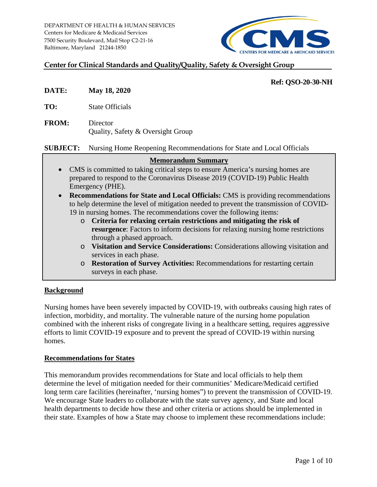

## **Center for Clinical Standards and Quality/Quality, Safety & Oversight Group**

# **Ref: QSO-20-30-NH**

- **DATE: May 18, 2020**
- **TO:** State Officials
- **FROM:** Director Quality, Safety & Oversight Group

**SUBJECT:** Nursing Home Reopening Recommendations for State and Local Officials

### **Memorandum Summary**

- CMS is committed to taking critical steps to ensure America's nursing homes are prepared to respond to the Coronavirus Disease 2019 (COVID-19) Public Health Emergency (PHE).
- **Recommendations for State and Local Officials:** CMS is providing recommendations to help determine the level of mitigation needed to prevent the transmission of COVID-19 in nursing homes. The recommendations cover the following items:
	- o **Criteria for relaxing certain restrictions and mitigating the risk of resurgence**: Factors to inform decisions for relaxing nursing home restrictions through a phased approach.
	- o **Visitation and Service Considerations:** Considerations allowing visitation and services in each phase.
	- o **Restoration of Survey Activities:** Recommendations for restarting certain surveys in each phase.

### **Background**

Nursing homes have been severely impacted by COVID-19, with outbreaks causing high rates of infection, morbidity, and mortality. The vulnerable nature of the nursing home population combined with the inherent risks of congregate living in a healthcare setting, requires aggressive efforts to limit COVID-19 exposure and to prevent the spread of COVID-19 within nursing homes.

### **Recommendations for States**

This memorandum provides recommendations for State and local officials to help them determine the level of mitigation needed for their communities' Medicare/Medicaid certified long term care facilities (hereinafter, 'nursing homes") to prevent the transmission of COVID-19. We encourage State leaders to collaborate with the state survey agency, and State and local health departments to decide how these and other criteria or actions should be implemented in their state. Examples of how a State may choose to implement these recommendations include: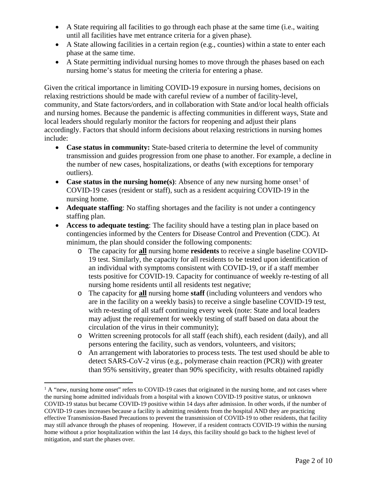- A State requiring all facilities to go through each phase at the same time (i.e., waiting until all facilities have met entrance criteria for a given phase).
- A State allowing facilities in a certain region (e.g., counties) within a state to enter each phase at the same time.
- A State permitting individual nursing homes to move through the phases based on each nursing home's status for meeting the criteria for entering a phase.

Given the critical importance in limiting COVID-19 exposure in nursing homes, decisions on relaxing restrictions should be made with careful review of a number of facility-level, community, and State factors/orders, and in collaboration with State and/or local health officials and nursing homes. Because the pandemic is affecting communities in different ways, State and local leaders should regularly monitor the factors for reopening and adjust their plans accordingly. Factors that should inform decisions about relaxing restrictions in nursing homes include:

- **Case status in community:** State-based criteria to determine the level of community transmission and guides progression from one phase to another. For example, a decline in the number of new cases, hospitalizations, or deaths (with exceptions for temporary outliers).
- **Case status in the nursing home(s)**: Absence of any new nursing home onset<sup>[1](#page-1-0)</sup> of COVID-19 cases (resident or staff), such as a resident acquiring COVID-19 in the nursing home.
- **Adequate staffing**: No staffing shortages and the facility is not under a contingency staffing plan.
- **Access to adequate testing**: The facility should have a testing plan in place based on contingencies informed by the Centers for Disease Control and Prevention (CDC). At minimum, the plan should consider the following components:
	- o The capacity for **all** nursing home **residents** to receive a single baseline COVID-19 test. Similarly, the capacity for all residents to be tested upon identification of an individual with symptoms consistent with COVID-19, or if a staff member tests positive for COVID-19. Capacity for continuance of weekly re-testing of all nursing home residents until all residents test negative;
	- o The capacity for **all** nursing home **staff** (including volunteers and vendors who are in the facility on a weekly basis) to receive a single baseline COVID-19 test, with re-testing of all staff continuing every week (note: State and local leaders may adjust the requirement for weekly testing of staff based on data about the circulation of the virus in their community);
	- o Written screening protocols for all staff (each shift), each resident (daily), and all persons entering the facility, such as vendors, volunteers, and visitors;
	- o An arrangement with laboratories to process tests. The test used should be able to detect SARS-CoV-2 virus (e.g., polymerase chain reaction (PCR)) with greater than 95% sensitivity, greater than 90% specificity, with results obtained rapidly

<span id="page-1-0"></span> $1$  A "new, nursing home onset" refers to COVID-19 cases that originated in the nursing home, and not cases where the nursing home admitted individuals from a hospital with a known COVID-19 positive status, or unknown COVID-19 status but became COVID-19 positive within 14 days after admission. In other words, if the number of COVID-19 cases increases because a facility is admitting residents from the hospital AND they are practicing effective Transmission-Based Precautions to prevent the transmission of COVID-19 to other residents, that facility may still advance through the phases of reopening. However, if a resident contracts COVID-19 within the nursing home without a prior hospitalization within the last 14 days, this facility should go back to the highest level of mitigation, and start the phases over.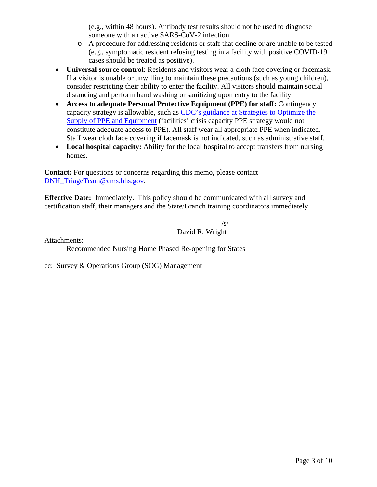(e.g., within 48 hours). Antibody test results should not be used to diagnose someone with an active SARS-CoV-2 infection.

- o A procedure for addressing residents or staff that decline or are unable to be tested (e.g., symptomatic resident refusing testing in a facility with positive COVID-19 cases should be treated as positive).
- **Universal source control**: Residents and visitors wear a cloth face covering or facemask. If a visitor is unable or unwilling to maintain these precautions (such as young children), consider restricting their ability to enter the facility. All visitors should maintain social distancing and perform hand washing or sanitizing upon entry to the facility.
- **Access to adequate Personal Protective Equipment (PPE) for staff:** Contingency capacity strategy is allowable, such as [CDC's guidance at Strategies to Optimize the](https://www.cdc.gov/coronavirus/2019-ncov/hcp/ppe-strategy/index.html)  [Supply of PPE and Equipment](https://www.cdc.gov/coronavirus/2019-ncov/hcp/ppe-strategy/index.html) (facilities' crisis capacity PPE strategy would not constitute adequate access to PPE). All staff wear all appropriate PPE when indicated. Staff wear cloth face covering if facemask is not indicated, such as administrative staff.
- Local hospital capacity: Ability for the local hospital to accept transfers from nursing homes.

**Contact:** For questions or concerns regarding this memo, please contact [DNH\\_TriageTeam@cms.hhs.gov.](mailto:DNH_TriageTeam@cms.hhs.gov)

**Effective Date:** Immediately. This policy should be communicated with all survey and certification staff, their managers and the State/Branch training coordinators immediately.

> /s/ David R. Wright

Attachments:

Recommended Nursing Home Phased Re-opening for States

cc: Survey & Operations Group (SOG) Management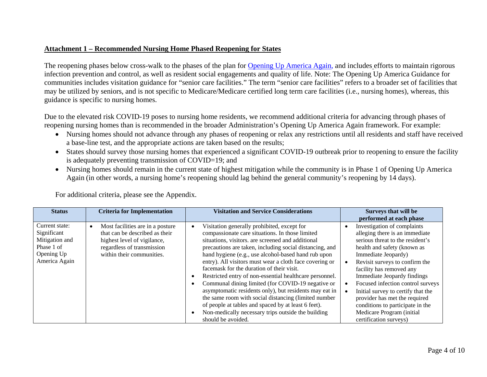# **Attachment 1 – Recommended Nursing Home Phased Reopening for States**

The reopening phases below cross-walk to the phases of the plan for [Opening Up America Again,](https://www.whitehouse.gov/openingamerica/) and includes efforts to maintain rigorous infection prevention and control, as well as resident social engagements and quality of life. Note: The Opening Up America Guidance for communities includes visitation guidance for "senior care facilities." The term "senior care facilities" refers to a broader set of facilities that may be utilized by seniors, and is not specific to Medicare/Medicare certified long term care facilities (i.e., nursing homes), whereas, this guidance is specific to nursing homes.

Due to the elevated risk COVID-19 poses to nursing home residents, we recommend additional criteria for advancing through phases of reopening nursing homes than is recommended in the broader Administration's Opening Up America Again framework. For example:

- Nursing homes should not advance through any phases of reopening or relax any restrictions until all residents and staff have received a base-line test, and the appropriate actions are taken based on the results;
- States should survey those nursing homes that experienced a significant COVID-19 outbreak prior to reopening to ensure the facility is adequately preventing transmission of COVID=19; and
- Nursing homes should remain in the current state of highest mitigation while the community is in Phase 1 of Opening Up America Again (in other words, a nursing home's reopening should lag behind the general community's reopening by 14 days).

For additional criteria, please see the Appendix.

| <b>Status</b>                                                                                | <b>Criteria for Implementation</b>                                                                                                                           | <b>Visitation and Service Considerations</b>                                                                                                                                                                                                                                                                                                                                                                                                                                                                                                                                                                                                                                                                                                       | Surveys that will be<br>performed at each phase                                                                                                                                                                                                                                                                                                                                                                                                             |
|----------------------------------------------------------------------------------------------|--------------------------------------------------------------------------------------------------------------------------------------------------------------|----------------------------------------------------------------------------------------------------------------------------------------------------------------------------------------------------------------------------------------------------------------------------------------------------------------------------------------------------------------------------------------------------------------------------------------------------------------------------------------------------------------------------------------------------------------------------------------------------------------------------------------------------------------------------------------------------------------------------------------------------|-------------------------------------------------------------------------------------------------------------------------------------------------------------------------------------------------------------------------------------------------------------------------------------------------------------------------------------------------------------------------------------------------------------------------------------------------------------|
| Current state:<br>Significant<br>Mitigation and<br>Phase 1 of<br>Opening Up<br>America Again | Most facilities are in a posture<br>that can be described as their<br>highest level of vigilance,<br>regardless of transmission<br>within their communities. | Visitation generally prohibited, except for<br>compassionate care situations. In those limited<br>situations, visitors. are screened and additional<br>precautions are taken, including social distancing, and<br>hand hygiene (e.g., use alcohol-based hand rub upon<br>entry). All visitors must wear a cloth face covering or<br>facemask for the duration of their visit.<br>Restricted entry of non-essential healthcare personnel.<br>Communal dining limited (for COVID-19 negative or<br>asymptomatic residents only), but residents may eat in<br>the same room with social distancing (limited number<br>of people at tables and spaced by at least 6 feet).<br>Non-medically necessary trips outside the building<br>should be avoided. | Investigation of complaints<br>alleging there is an immediate<br>serious threat to the resident's<br>health and safety (known as<br>Immediate Jeopardy)<br>Revisit surveys to confirm the<br>facility has removed any<br>Immediate Jeopardy findings<br>Focused infection control surveys<br>Initial survey to certify that the<br>provider has met the required<br>conditions to participate in the<br>Medicare Program (initial<br>certification surveys) |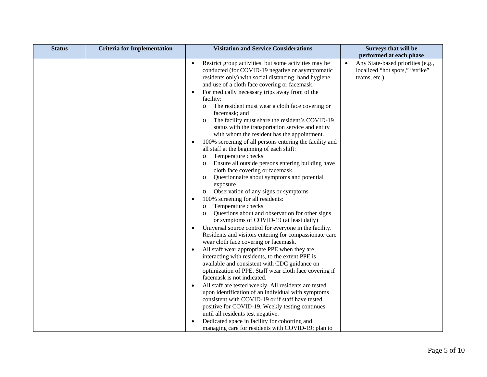| <b>Status</b> | <b>Criteria for Implementation</b> | <b>Visitation and Service Considerations</b>                                                                                                                                                                                                                                                                                                                                                                                                                                                                                                                                                                                                                                                                                                                                                                                                                                                                                                                                                                                                                                                                                                                                                                                                                                                                                                                                                                                                                                                                                                                                                                                                                                                                                                                                                          | Surveys that will be                                                                              |
|---------------|------------------------------------|-------------------------------------------------------------------------------------------------------------------------------------------------------------------------------------------------------------------------------------------------------------------------------------------------------------------------------------------------------------------------------------------------------------------------------------------------------------------------------------------------------------------------------------------------------------------------------------------------------------------------------------------------------------------------------------------------------------------------------------------------------------------------------------------------------------------------------------------------------------------------------------------------------------------------------------------------------------------------------------------------------------------------------------------------------------------------------------------------------------------------------------------------------------------------------------------------------------------------------------------------------------------------------------------------------------------------------------------------------------------------------------------------------------------------------------------------------------------------------------------------------------------------------------------------------------------------------------------------------------------------------------------------------------------------------------------------------------------------------------------------------------------------------------------------------|---------------------------------------------------------------------------------------------------|
|               |                                    |                                                                                                                                                                                                                                                                                                                                                                                                                                                                                                                                                                                                                                                                                                                                                                                                                                                                                                                                                                                                                                                                                                                                                                                                                                                                                                                                                                                                                                                                                                                                                                                                                                                                                                                                                                                                       | performed at each phase                                                                           |
|               |                                    | Restrict group activities, but some activities may be<br>$\bullet$<br>conducted (for COVID-19 negative or asymptomatic<br>residents only) with social distancing, hand hygiene,<br>and use of a cloth face covering or facemask.<br>For medically necessary trips away from of the<br>facility:<br>The resident must wear a cloth face covering or<br>O<br>facemask; and<br>The facility must share the resident's COVID-19<br>$\circ$<br>status with the transportation service and entity<br>with whom the resident has the appointment.<br>100% screening of all persons entering the facility and<br>all staff at the beginning of each shift:<br>Temperature checks<br>O<br>Ensure all outside persons entering building have<br>O<br>cloth face covering or facemask.<br>Questionnaire about symptoms and potential<br>O<br>exposure<br>Observation of any signs or symptoms<br>$\circ$<br>100% screening for all residents:<br>Temperature checks<br>O<br>Questions about and observation for other signs<br>O<br>or symptoms of COVID-19 (at least daily)<br>Universal source control for everyone in the facility.<br>Residents and visitors entering for compassionate care<br>wear cloth face covering or facemask.<br>All staff wear appropriate PPE when they are<br>interacting with residents, to the extent PPE is<br>available and consistent with CDC guidance on<br>optimization of PPE. Staff wear cloth face covering if<br>facemask is not indicated.<br>All staff are tested weekly. All residents are tested<br>$\bullet$<br>upon identification of an individual with symptoms<br>consistent with COVID-19 or if staff have tested<br>positive for COVID-19. Weekly testing continues<br>until all residents test negative.<br>Dedicated space in facility for cohorting and | Any State-based priorities (e.g.,<br>$\bullet$<br>localized "hot spots," "strike"<br>teams, etc.) |
|               |                                    | managing care for residents with COVID-19; plan to                                                                                                                                                                                                                                                                                                                                                                                                                                                                                                                                                                                                                                                                                                                                                                                                                                                                                                                                                                                                                                                                                                                                                                                                                                                                                                                                                                                                                                                                                                                                                                                                                                                                                                                                                    |                                                                                                   |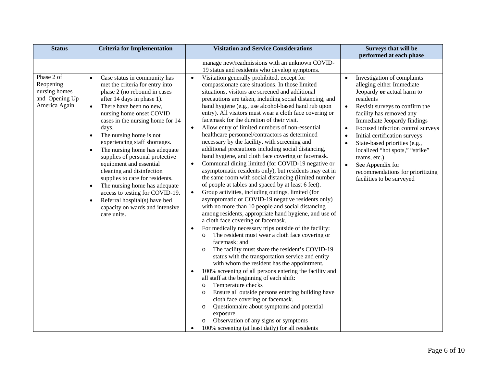| <b>Status</b>                                                               | <b>Criteria for Implementation</b>                                                                                                                                                                                                                                                                                                                                                                                                                                                                                                                                                                                                                                                                | <b>Visitation and Service Considerations</b>                                                                                                                                                                                                                                                                                                                                                                                                                                                                                                                                                                                                                                                                                                                                                                                                                                                                                                                                                                                                                                                                                                                                                                                                                                                                                                                                                                                                                                                                                                                                                                                                                                                                                                                                                                                                                                                                                                                             | Surveys that will be                                                                                                                                                                                                                                                                                                                                                                                                                                                                                |
|-----------------------------------------------------------------------------|---------------------------------------------------------------------------------------------------------------------------------------------------------------------------------------------------------------------------------------------------------------------------------------------------------------------------------------------------------------------------------------------------------------------------------------------------------------------------------------------------------------------------------------------------------------------------------------------------------------------------------------------------------------------------------------------------|--------------------------------------------------------------------------------------------------------------------------------------------------------------------------------------------------------------------------------------------------------------------------------------------------------------------------------------------------------------------------------------------------------------------------------------------------------------------------------------------------------------------------------------------------------------------------------------------------------------------------------------------------------------------------------------------------------------------------------------------------------------------------------------------------------------------------------------------------------------------------------------------------------------------------------------------------------------------------------------------------------------------------------------------------------------------------------------------------------------------------------------------------------------------------------------------------------------------------------------------------------------------------------------------------------------------------------------------------------------------------------------------------------------------------------------------------------------------------------------------------------------------------------------------------------------------------------------------------------------------------------------------------------------------------------------------------------------------------------------------------------------------------------------------------------------------------------------------------------------------------------------------------------------------------------------------------------------------------|-----------------------------------------------------------------------------------------------------------------------------------------------------------------------------------------------------------------------------------------------------------------------------------------------------------------------------------------------------------------------------------------------------------------------------------------------------------------------------------------------------|
|                                                                             |                                                                                                                                                                                                                                                                                                                                                                                                                                                                                                                                                                                                                                                                                                   | manage new/readmissions with an unknown COVID-                                                                                                                                                                                                                                                                                                                                                                                                                                                                                                                                                                                                                                                                                                                                                                                                                                                                                                                                                                                                                                                                                                                                                                                                                                                                                                                                                                                                                                                                                                                                                                                                                                                                                                                                                                                                                                                                                                                           | performed at each phase                                                                                                                                                                                                                                                                                                                                                                                                                                                                             |
| Phase 2 of<br>Reopening<br>nursing homes<br>and Opening Up<br>America Again | Case status in community has<br>$\bullet$<br>met the criteria for entry into<br>phase 2 (no rebound in cases<br>after 14 days in phase 1).<br>There have been no new,<br>$\bullet$<br>nursing home onset COVID<br>cases in the nursing home for 14<br>days.<br>The nursing home is not<br>$\bullet$<br>experiencing staff shortages.<br>The nursing home has adequate<br>$\bullet$<br>supplies of personal protective<br>equipment and essential<br>cleaning and disinfection<br>supplies to care for residents.<br>The nursing home has adequate<br>$\bullet$<br>access to testing for COVID-19.<br>Referral hospital(s) have bed<br>$\bullet$<br>capacity on wards and intensive<br>care units. | 19 status and residents who develop symptoms.<br>Visitation generally prohibited, except for<br>$\bullet$<br>compassionate care situations. In those limited<br>situations, visitors are screened and additional<br>precautions are taken, including social distancing, and<br>hand hygiene (e.g., use alcohol-based hand rub upon<br>entry). All visitors must wear a cloth face covering or<br>facemask for the duration of their visit.<br>Allow entry of limited numbers of non-essential<br>$\bullet$<br>healthcare personnel/contractors as determined<br>necessary by the facility, with screening and<br>additional precautions including social distancing,<br>hand hygiene, and cloth face covering or facemask.<br>Communal dining limited (for COVID-19 negative or<br>asymptomatic residents only), but residents may eat in<br>the same room with social distancing (limited number<br>of people at tables and spaced by at least 6 feet).<br>Group activities, including outings, limited (for<br>$\bullet$<br>asymptomatic or COVID-19 negative residents only)<br>with no more than 10 people and social distancing<br>among residents, appropriate hand hygiene, and use of<br>a cloth face covering or facemask.<br>For medically necessary trips outside of the facility:<br>The resident must wear a cloth face covering or<br>$\circ$<br>facemask; and<br>The facility must share the resident's COVID-19<br>$\circ$<br>status with the transportation service and entity<br>with whom the resident has the appointment.<br>100% screening of all persons entering the facility and<br>all staff at the beginning of each shift:<br>Temperature checks<br>$\circ$<br>Ensure all outside persons entering building have<br>$\circ$<br>cloth face covering or facemask.<br>Questionnaire about symptoms and potential<br>$\circ$<br>exposure<br>Observation of any signs or symptoms<br>$\circ$<br>100% screening (at least daily) for all residents | Investigation of complaints<br>$\bullet$<br>alleging either Immediate<br>Jeopardy or actual harm to<br>residents<br>Revisit surveys to confirm the<br>$\bullet$<br>facility has removed any<br>Immediate Jeopardy findings<br>Focused infection control surveys<br>$\bullet$<br>Initial certification surveys<br>State-based priorities (e.g.,<br>localized "hot spots," "strike"<br>teams, etc.)<br>$\bullet$<br>See Appendix for<br>recommendations for prioritizing<br>facilities to be surveyed |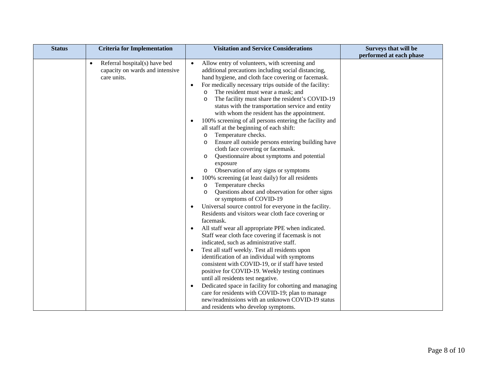| <b>Status</b> | <b>Criteria for Implementation</b>                                                           | <b>Visitation and Service Considerations</b>                                                                                                                                                                                                                                                                                                                                                                                                                                                                                                                                                                                                                                                                                                                                                                                                                                                                                                                                                                                                                          | Surveys that will be    |
|---------------|----------------------------------------------------------------------------------------------|-----------------------------------------------------------------------------------------------------------------------------------------------------------------------------------------------------------------------------------------------------------------------------------------------------------------------------------------------------------------------------------------------------------------------------------------------------------------------------------------------------------------------------------------------------------------------------------------------------------------------------------------------------------------------------------------------------------------------------------------------------------------------------------------------------------------------------------------------------------------------------------------------------------------------------------------------------------------------------------------------------------------------------------------------------------------------|-------------------------|
|               | Referral hospital(s) have bed<br>$\bullet$<br>capacity on wards and intensive<br>care units. | Allow entry of volunteers, with screening and<br>$\bullet$<br>additional precautions including social distancing,<br>hand hygiene, and cloth face covering or facemask.<br>For medically necessary trips outside of the facility:<br>$\bullet$<br>The resident must wear a mask; and<br>$\circ$<br>The facility must share the resident's COVID-19<br>status with the transportation service and entity<br>with whom the resident has the appointment.<br>100% screening of all persons entering the facility and<br>all staff at the beginning of each shift:<br>Temperature checks.<br>$\circ$<br>Ensure all outside persons entering building have<br>$\circ$<br>cloth face covering or facemask.<br>Questionnaire about symptoms and potential<br>$\circ$<br>exposure<br>Observation of any signs or symptoms<br>$\circ$<br>100% screening (at least daily) for all residents<br>Temperature checks<br>$\circ$<br>Questions about and observation for other signs<br>$\circ$<br>or symptoms of COVID-19<br>Universal source control for everyone in the facility. | performed at each phase |
|               |                                                                                              | Residents and visitors wear cloth face covering or<br>facemask.                                                                                                                                                                                                                                                                                                                                                                                                                                                                                                                                                                                                                                                                                                                                                                                                                                                                                                                                                                                                       |                         |
|               |                                                                                              | All staff wear all appropriate PPE when indicated.<br>Staff wear cloth face covering if facemask is not<br>indicated, such as administrative staff.<br>Test all staff weekly. Test all residents upon<br>$\bullet$<br>identification of an individual with symptoms                                                                                                                                                                                                                                                                                                                                                                                                                                                                                                                                                                                                                                                                                                                                                                                                   |                         |
|               |                                                                                              | consistent with COVID-19, or if staff have tested<br>positive for COVID-19. Weekly testing continues<br>until all residents test negative.<br>Dedicated space in facility for cohorting and managing<br>$\bullet$                                                                                                                                                                                                                                                                                                                                                                                                                                                                                                                                                                                                                                                                                                                                                                                                                                                     |                         |
|               |                                                                                              | care for residents with COVID-19; plan to manage<br>new/readmissions with an unknown COVID-19 status<br>and residents who develop symptoms.                                                                                                                                                                                                                                                                                                                                                                                                                                                                                                                                                                                                                                                                                                                                                                                                                                                                                                                           |                         |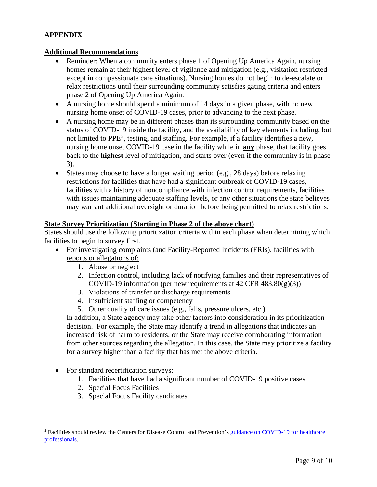# **APPENDIX**

### **Additional Recommendations**

- Reminder: When a community enters phase 1 of Opening Up America Again, nursing homes remain at their highest level of vigilance and mitigation (e.g., visitation restricted except in compassionate care situations). Nursing homes do not begin to de-escalate or relax restrictions until their surrounding community satisfies gating criteria and enters phase 2 of Opening Up America Again.
- A nursing home should spend a minimum of 14 days in a given phase, with no new nursing home onset of COVID-19 cases, prior to advancing to the next phase.
- A nursing home may be in different phases than its surrounding community based on the status of COVID-19 inside the facility, and the availability of key elements including, but not limited to PPE<sup>[2](#page-8-0)</sup>, testing, and staffing. For example, if a facility identifies a new, nursing home onset COVID-19 case in the facility while in **any** phase, that facility goes back to the **highest** level of mitigation, and starts over (even if the community is in phase 3).
- States may choose to have a longer waiting period (e.g., 28 days) before relaxing restrictions for facilities that have had a significant outbreak of COVID-19 cases, facilities with a history of noncompliance with infection control requirements, facilities with issues maintaining adequate staffing levels, or any other situations the state believes may warrant additional oversight or duration before being permitted to relax restrictions.

#### **State Survey Prioritization (Starting in Phase 2 of the above chart)**

States should use the following prioritization criteria within each phase when determining which facilities to begin to survey first.

- For investigating complaints (and Facility-Reported Incidents (FRIs), facilities with reports or allegations of:
	- 1. Abuse or neglect
	- 2. Infection control, including lack of notifying families and their representatives of COVID-19 information (per new requirements at 42 CFR  $483.80(g)(3)$ )
	- 3. Violations of transfer or discharge requirements
	- 4. Insufficient staffing or competency
	- 5. Other quality of care issues (e.g., falls, pressure ulcers, etc.)

In addition, a State agency may take other factors into consideration in its prioritization decision. For example, the State may identify a trend in allegations that indicates an increased risk of harm to residents, or the State may receive corroborating information from other sources regarding the allegation. In this case, the State may prioritize a facility for a survey higher than a facility that has met the above criteria.

- For standard recertification surveys:
	- 1. Facilities that have had a significant number of COVID-19 positive cases
	- 2. Special Focus Facilities
	- 3. Special Focus Facility candidates

<span id="page-8-0"></span><sup>&</sup>lt;sup>2</sup> Facilities should review the Centers for Disease Control and Prevention's guidance on COVID-19 for healthcare [professionals.](https://www.cdc.gov/coronavirus/2019-nCoV/hcp/index.html)